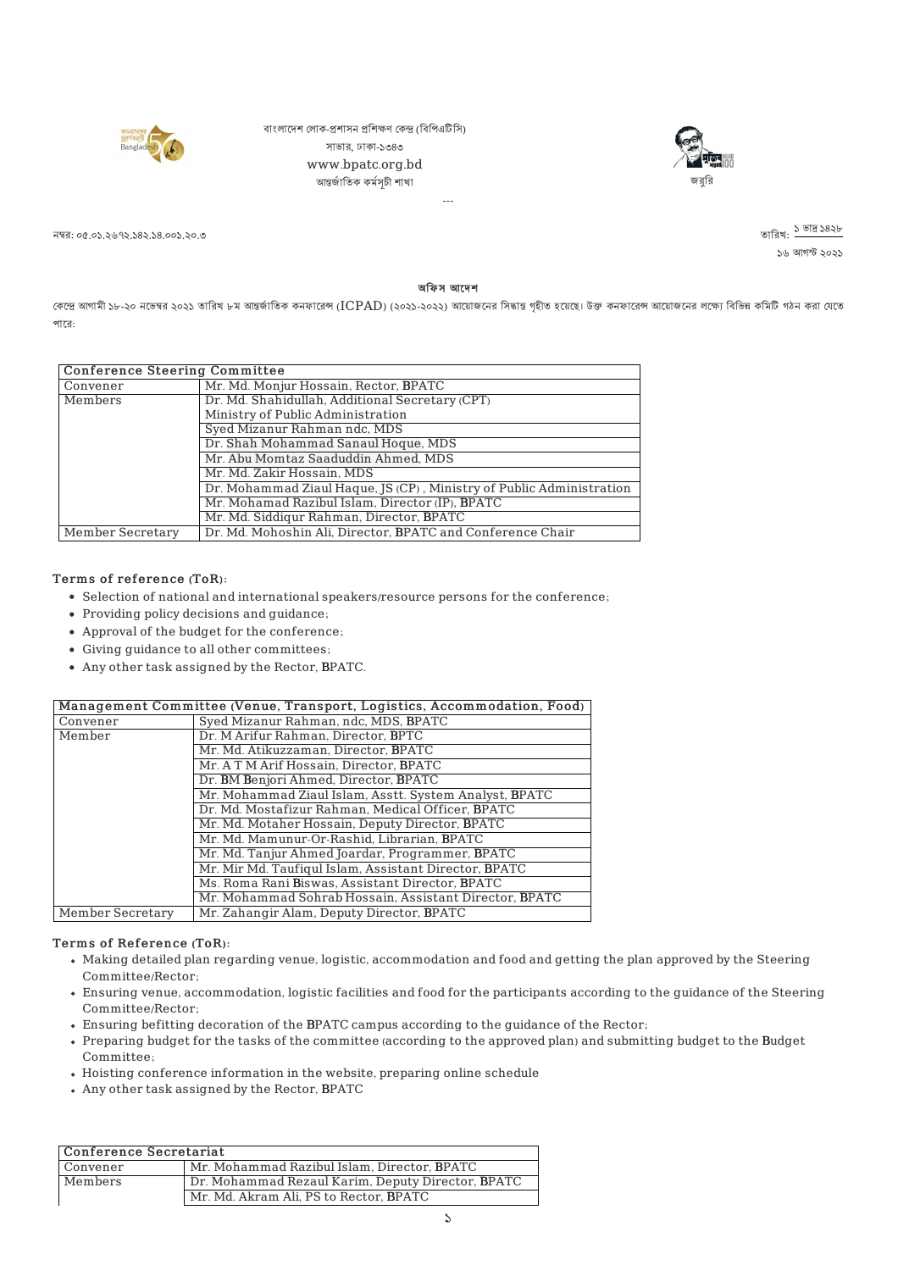

বাংলাদেশ লোক-প্ৰশাসন প্ৰশিক্ষণ কেন্দ্ৰ (বিপিএটিসি) সাভার, ঢাকা-১৩৪৩ www.bpatc.org.bd আন্তৰ্জাতিক কৰ্মসচী শাখা



নম্বর: ০৫.০১.২৬৭২.১৪২.১৪.০০১.২০.৩

১৬ আগস্ট ২০২১ তারিখ: <mark>১ ভাদ্র ১</mark>৪২৮

অফিস আদেশ

---

কেন্দ্রে আগামী ১৮-২০ নভেম্বর ২০২১ তারিখ ৮ম আন্তর্জাতিক কনফারেন্স (ICPAD) (২০২১-২০২২) আয়োজনের গিষ্ট হয়েছে। উক্ত কনফারেল আয়োজনের লক্ষ্যে বিভিন্ন কমিটি গঠন করা যেতে পাের:

| <b>Conference Steering Committee</b> |                                                                      |
|--------------------------------------|----------------------------------------------------------------------|
| Convener                             | Mr. Md. Monjur Hossain, Rector, BPATC                                |
| Members                              | Dr. Md. Shahidullah, Additional Secretary (CPT)                      |
|                                      | Ministry of Public Administration                                    |
|                                      | Syed Mizanur Rahman ndc, MDS                                         |
|                                      | Dr. Shah Mohammad Sanaul Hoque, MDS                                  |
|                                      | Mr. Abu Momtaz Saaduddin Ahmed, MDS                                  |
|                                      | Mr. Md. Zakir Hossain, MDS                                           |
|                                      | Dr. Mohammad Ziaul Haque, JS (CP), Ministry of Public Administration |
|                                      | Mr. Mohamad Razibul Islam, Director (IP), BPATC                      |
|                                      | Mr. Md. Siddigur Rahman, Director, BPATC                             |
| <b>Member Secretary</b>              | Dr. Md. Mohoshin Ali, Director, BPATC and Conference Chair           |

## Terms of reference (ToR):

- Selection of national and international speakers/resource persons for the conference;
- Providing policy decisions and guidance;
- Approval of the budget for the conference;
- Giving guidance to all other committees;
- Any other task assigned by the Rector, BPATC.

|                  | Management Committee (Venue, Transport, Logistics, Accommodation, Food) |
|------------------|-------------------------------------------------------------------------|
| Convener         | Syed Mizanur Rahman, ndc, MDS, BPATC                                    |
| Member           | Dr. M Arifur Rahman, Director, BPTC                                     |
|                  | Mr. Md. Atikuzzaman, Director, BPATC                                    |
|                  | Mr. A T M Arif Hossain, Director, BPATC                                 |
|                  | Dr. BM Benjori Ahmed, Director, BPATC                                   |
|                  | Mr. Mohammad Ziaul Islam, Asstt. System Analyst, BPATC                  |
|                  | Dr. Md. Mostafizur Rahman, Medical Officer, BPATC                       |
|                  | Mr. Md. Motaher Hossain, Deputy Director, BPATC                         |
|                  | Mr. Md. Mamunur-Or-Rashid, Librarian, BPATC                             |
|                  | Mr. Md. Tanjur Ahmed Joardar, Programmer, BPATC                         |
|                  | Mr. Mir Md. Taufiqul Islam, Assistant Director, BPATC                   |
|                  | Ms. Roma Rani Biswas, Assistant Director, BPATC                         |
|                  | Mr. Mohammad Sohrab Hossain, Assistant Director, BPATC                  |
| Member Secretary | Mr. Zahangir Alam, Deputy Director, BPATC                               |

## Terms of Reference (ToR):

- Making detailed plan regarding venue, logistic, accommodation and food and getting the plan approved by the Steering Committee/Rector;
- Ensuring venue, accommodation, logistic facilities and food for the participants according to the guidance of the Steering Committee/Rector;
- Ensuring befitting decoration of the BPATC campus according to the guidance of the Rector;
- Preparing budget for the tasks of the committee (according to the approved plan) and submitting budget to the Budget Committee;
- Hoisting conference information in the website, preparing online schedule
- Any other task assigned by the Rector, BPATC

| Conference Secretariat |                                                   |
|------------------------|---------------------------------------------------|
| Convener               | Mr. Mohammad Razibul Islam, Director, BPATC       |
| Members                | Dr. Mohammad Rezaul Karim, Deputy Director, BPATC |
|                        | Mr. Md. Akram Ali, PS to Rector, BPATC            |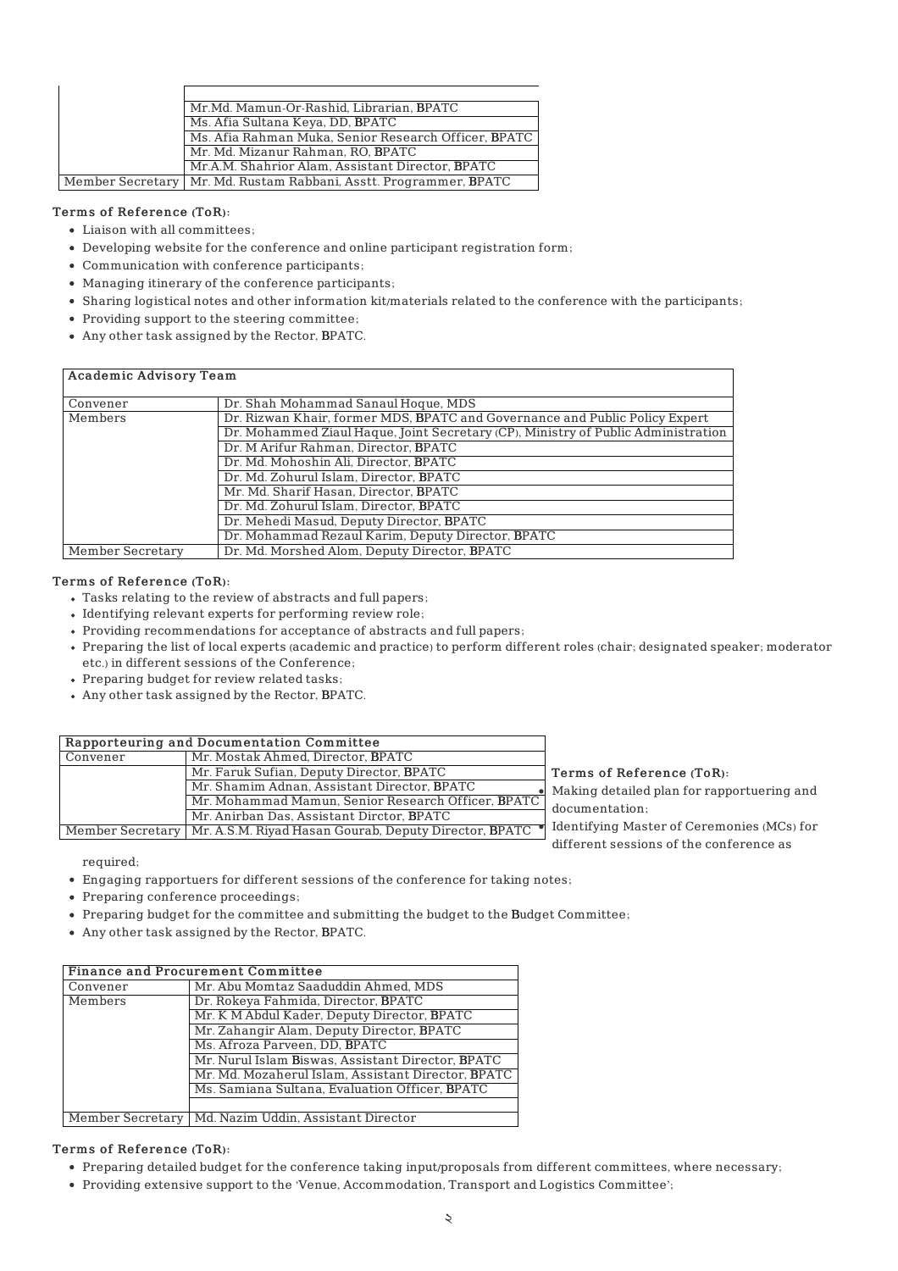| Mr.Md. Mamun-Or-Rashid, Librarian, BPATC                            |
|---------------------------------------------------------------------|
| Ms. Afia Sultana Keya, DD, BPATC                                    |
| Ms. Afia Rahman Muka, Senior Research Officer, BPATC                |
| Mr. Md. Mizanur Rahman, RO, BPATC                                   |
| Mr.A.M. Shahrior Alam, Assistant Director, BPATC                    |
| Member Secretary   Mr. Md. Rustam Rabbani, Asstt. Programmer, BPATC |

## Terms of Reference (ToR):

- Liaison with all committees;
- Developing website for the conference and online participant registration form;
- Communication with conference participants;
- Managing itinerary of the conference participants;
- Sharing logistical notes and other information kit/materials related to the conference with the participants;
- Providing support to the steering committee;
- Any other task assigned by the Rector, BPATC.

# Academic Advisory Team

| Convener         | Dr. Shah Mohammad Sanaul Hoque, MDS                                               |
|------------------|-----------------------------------------------------------------------------------|
| Members          | Dr. Rizwan Khair, former MDS, BPATC and Governance and Public Policy Expert       |
|                  | Dr. Mohammed Ziaul Haque, Joint Secretary (CP), Ministry of Public Administration |
|                  | Dr. M Arifur Rahman, Director, BPATC                                              |
|                  | Dr. Md. Mohoshin Ali, Director, BPATC                                             |
|                  | Dr. Md. Zohurul Islam, Director, BPATC                                            |
|                  | Mr. Md. Sharif Hasan, Director, BPATC                                             |
|                  | Dr. Md. Zohurul Islam, Director, BPATC                                            |
|                  | Dr. Mehedi Masud, Deputy Director, BPATC                                          |
|                  | Dr. Mohammad Rezaul Karim, Deputy Director, BPATC                                 |
| Member Secretary | Dr. Md. Morshed Alom, Deputy Director, BPATC                                      |

#### Terms of Reference (ToR):

- Tasks relating to the review of abstracts and full papers;
- Identifying relevant experts for performing review role;
- Providing recommendations for acceptance of abstracts and full papers;
- Preparing the list of local experts (academic and practice) to perform different roles (chair; designated speaker; moderator etc.) in different sessions of the Conference;
- Preparing budget for review related tasks;
- Any other task assigned by the Rector, BPATC.

| Rapporteuring and Documentation Committee |                                                                          |           |
|-------------------------------------------|--------------------------------------------------------------------------|-----------|
| Convener                                  | Mr. Mostak Ahmed, Director, BPATC                                        |           |
|                                           | Mr. Faruk Sufian, Deputy Director, BPATC                                 | т         |
|                                           | Mr. Shamim Adnan, Assistant Director, BPATC                              | $\lambda$ |
|                                           | Mr. Mohammad Mamun, Senior Research Officer, BPATC                       |           |
|                                           | Mr. Anirban Das, Assistant Dirctor, BPATC                                |           |
|                                           | Member Secretary   Mr. A.S.M. Riyad Hasan Gourab, Deputy Director, BPATC | T)        |

Terms of Reference (ToR): Making detailed plan for rapportuering and locumentation;

dentifying Master of Ceremonies (MCs) for different sessions of the conference as

required;

- Engaging rapportuers for different sessions of the conference for taking notes;
- Preparing conference proceedings;
- Preparing budget for the committee and submitting the budget to the Budget Committee;
- Any other task assigned by the Rector, BPATC.

|          | <b>Finance and Procurement Committee</b>               |
|----------|--------------------------------------------------------|
| Convener | Mr. Abu Momtaz Saaduddin Ahmed, MDS                    |
| Members  | Dr. Rokeya Fahmida, Director, BPATC                    |
|          | Mr. K M Abdul Kader, Deputy Director, BPATC            |
|          | Mr. Zahangir Alam, Deputy Director, BPATC              |
|          | Ms. Afroza Parveen, DD, BPATC                          |
|          | Mr. Nurul Islam Biswas, Assistant Director, BPATC      |
|          | Mr. Md. Mozaherul Islam, Assistant Director, BPATC     |
|          | Ms. Samiana Sultana, Evaluation Officer, BPATC         |
|          |                                                        |
|          | Member Secretary   Md. Nazim Uddin, Assistant Director |

# Terms of Reference (ToR):

- Preparing detailed budget for the conference taking input/proposals from different committees, where necessary;
- Providing extensive support to the 'Venue, Accommodation, Transport and Logistics Committee';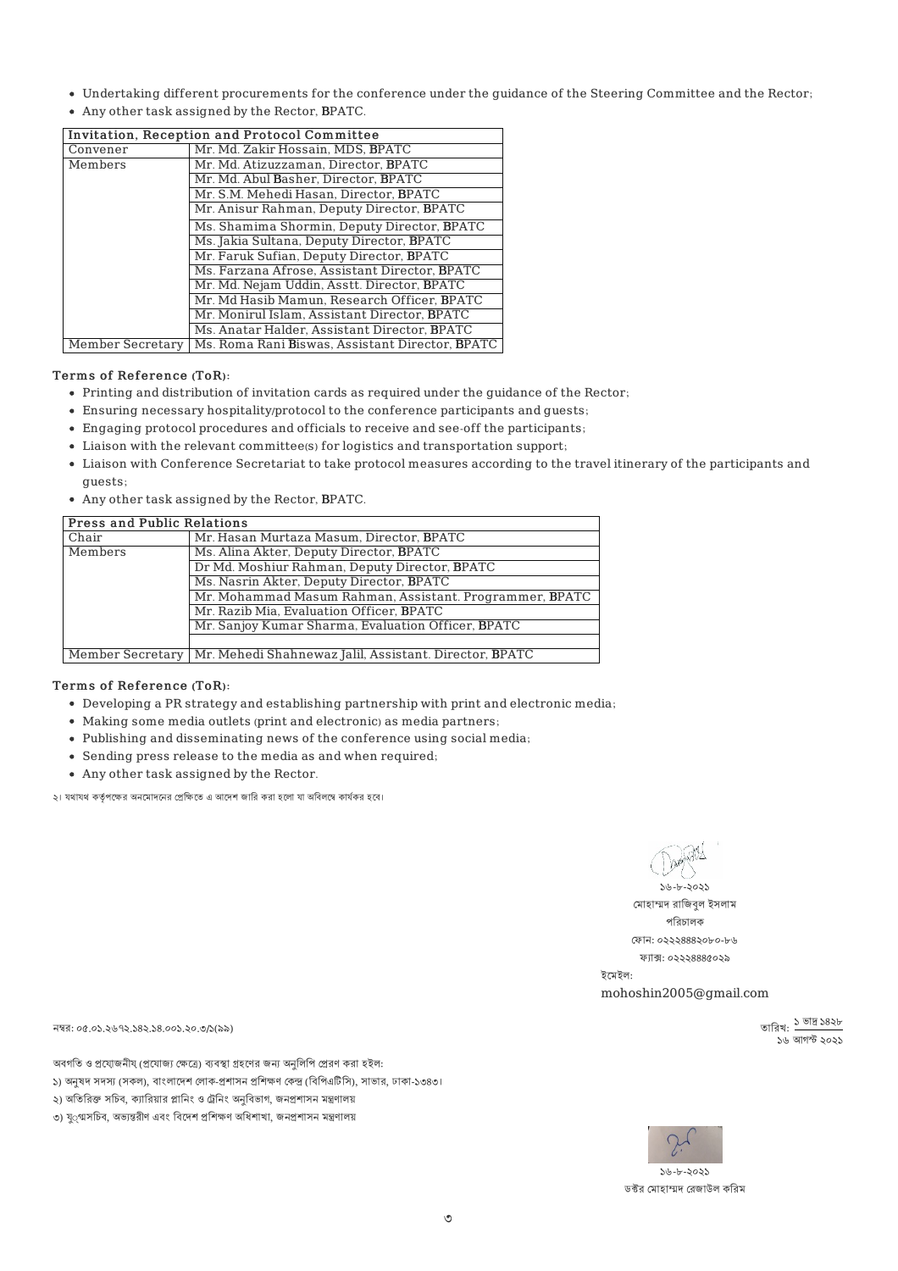- Undertaking different procurements for the conference under the guidance of the Steering Committee and the Rector;
- Any other task assigned by the Rector, BPATC.

|                  | Invitation, Reception and Protocol Committee    |
|------------------|-------------------------------------------------|
| Convener         | Mr. Md. Zakir Hossain, MDS, BPATC               |
| Members          | Mr. Md. Atizuzzaman. Director. BPATC            |
|                  | Mr. Md. Abul Basher, Director, BPATC            |
|                  | Mr. S.M. Mehedi Hasan, Director, BPATC          |
|                  | Mr. Anisur Rahman, Deputy Director, BPATC       |
|                  | Ms. Shamima Shormin, Deputy Director, BPATC     |
|                  | Ms. Jakia Sultana, Deputy Director, BPATC       |
|                  | Mr. Faruk Sufian, Deputy Director, BPATC        |
|                  | Ms. Farzana Afrose, Assistant Director, BPATC   |
|                  | Mr. Md. Nejam Uddin, Asstt. Director, BPATC     |
|                  | Mr. Md Hasib Mamun, Research Officer, BPATC     |
|                  | Mr. Monirul Islam, Assistant Director, BPATC    |
|                  | Ms. Anatar Halder, Assistant Director, BPATC    |
| Member Secretary | Ms. Roma Rani Biswas, Assistant Director, BPATC |

# Terms of Reference (ToR):

- Printing and distribution of invitation cards as required under the guidance of the Rector;
- Ensuring necessary hospitality/protocol to the conference participants and guests;
- Engaging protocol procedures and officials to receive and see-off the participants;
- Liaison with the relevant committee(s) for logistics and transportation support;
- Liaison with Conference Secretariat to take protocol measures according to the travel itinerary of the participants and guests;
- Any other task assigned by the Rector, BPATC.

# **Press and Public Relations**

| Chair   | Mr. Hasan Murtaza Masum, Director, BPATC                                  |
|---------|---------------------------------------------------------------------------|
| Members | Ms. Alina Akter, Deputy Director, BPATC                                   |
|         | Dr Md. Moshiur Rahman, Deputy Director, BPATC                             |
|         | Ms. Nasrin Akter, Deputy Director, BPATC                                  |
|         | Mr. Mohammad Masum Rahman, Assistant. Programmer, BPATC                   |
|         | Mr. Razib Mia, Evaluation Officer, BPATC                                  |
|         | Mr. Sanjoy Kumar Sharma, Evaluation Officer, BPATC                        |
|         |                                                                           |
|         | Member Secretary   Mr. Mehedi Shahnewaz Jalil, Assistant. Director, BPATC |

## Terms of Reference (ToR):

- Developing a PR strategy and establishing partnership with print and electronic media;
- Making some media outlets (print and electronic) as media partners;
- Publishing and disseminating news of the conference using social media;
- Sending press release to the media as and when required;
- Any other task assigned by the Rector.

২। যথাযথ কর্তৃপক্ষের অনমোদনের প্রেক্ষিতে এ আদেশ জারি করা হলো যা অবিলম্বে কার্যকর হবে।

১৬-৮-২০২১

মোহাম্মদ রাজিবল ইসলাম পিরচালক ফান: ০২২২৪৪৪২০৮০-৮৬ ফ্যাক্স: ০২২২৪৪৪৫০২৯

ইেমইল: mohoshin2005@gmail.com

> তারিখ: ১ ভাদ্র ১৪২৮ ১৯৯<br>১৯৯ আগস্ট ১০১১

নম্বর: ০৫.০১.২৬৭২.১৪২.১৪.০০১.২০.৩/১(৯৯)

অবগতি ও প্রযোজনীয্ (প্রযোজ্য ক্ষেত্রে) ব্যবস্থা গ্রহণের জন্য অনুলিপি প্রেরণ করা হইল: ১) অনষদ সদস্য (সকল), বাংলাদেশ লোক-প্রশাসন প্রশিক্ষণ কেন্দ্র (বিপিএটিসি), সাভার, ঢাকা-১৩৪৩।

২) অতিরিক্ত সচিব, ক্যারিয়ার প্লানিং ও ট্রেনিং অনুবিভাগ, জনপ্রশাসন মন্ত্রণালয়





১৬-৮-২০২১ ডক্টর মোহাম্মদ রেজাউল করিম